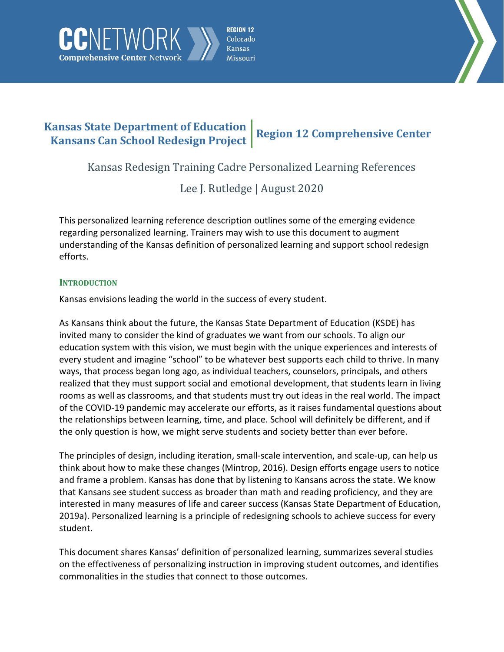



# **Kansas State Department of Education Kansans Can School Redesign Project Region 12 Comprehensive Center**

Kansas Redesign Training Cadre Personalized Learning References

Lee J. Rutledge | August 2020

This personalized learning reference description outlines some of the emerging evidence regarding personalized learning. Trainers may wish to use this document to augment understanding of the Kansas definition of personalized learning and support school redesign efforts.

## **INTRODUCTION**

CNETWOR

**Comprehensive Center Network** 

Kansas envisions leading the world in the success of every student.

As Kansans think about the future, the Kansas State Department of Education (KSDE) has invited many to consider the kind of graduates we want from our schools. To align our education system with this vision, we must begin with the unique experiences and interests of every student and imagine "school" to be whatever best supports each child to thrive. In many ways, that process began long ago, as individual teachers, counselors, principals, and others realized that they must support social and emotional development, that students learn in living rooms as well as classrooms, and that students must try out ideas in the real world. The impact of the COVID-19 pandemic may accelerate our efforts, as it raises fundamental questions about the relationships between learning, time, and place. School will definitely be different, and if the only question is how, we might serve students and society better than ever before.

The principles of design, including iteration, small-scale intervention, and scale-up, can help us think about how to make these changes (Mintrop, 2016). Design efforts engage users to notice and frame a problem. Kansas has done that by listening to Kansans across the state. We know that Kansans see student success as broader than math and reading proficiency, and they are interested in many measures of life and career success (Kansas State Department of Education, 2019a). Personalized learning is a principle of redesigning schools to achieve success for every student.

This document shares Kansas' definition of personalized learning, summarizes several studies on the effectiveness of personalizing instruction in improving student outcomes, and identifies commonalities in the studies that connect to those outcomes.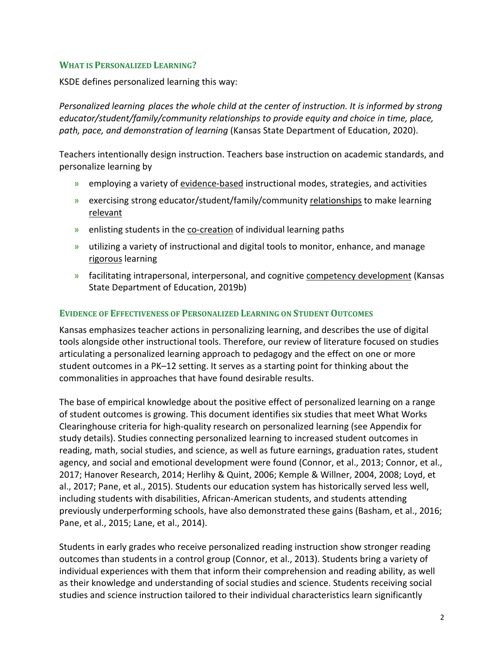#### **WHAT IS PERSONALIZED LEARNING?**

KSDE defines personalized learning this way:

*Personalized learning places the whole child at the center of instruction. It is informed by strong educator/student/family/community relationships to provide equity and choice in time, place, path, pace, and demonstration of learning* (Kansas State Department of Education, 2020).

Teachers intentionally design instruction. Teachers base instruction on academic standards, and personalize learning by

- » employing a variety of evidence-based instructional modes, strategies, and activities
- » exercising strong educator/student/family/community relationships to make learning relevant
- » enlisting students in the co-creation of individual learning paths
- » utilizing a variety of instructional and digital tools to monitor, enhance, and manage rigorous learning
- » facilitating intrapersonal, interpersonal, and cognitive competency development (Kansas State Department of Education, 2019b)

#### **EVIDENCE OF EFFECTIVENESS OF PERSONALIZED LEARNING ON STUDENT OUTCOMES**

Kansas emphasizes teacher actions in personalizing learning, and describes the use of digital tools alongside other instructional tools. Therefore, our review of literature focused on studies articulating a personalized learning approach to pedagogy and the effect on one or more student outcomes in a PK–12 setting. It serves as a starting point for thinking about the commonalities in approaches that have found desirable results.

The base of empirical knowledge about the positive effect of personalized learning on a range of student outcomes is growing. This document identifies six studies that meet What Works Clearinghouse criteria for high-quality research on personalized learning (see Appendix for study details). Studies connecting personalized learning to increased student outcomes in reading, math, social studies, and science, as well as future earnings, graduation rates, student agency, and social and emotional development were found (Connor, et al., 2013; Connor, et al., 2017; Hanover Research, 2014; Herlihy & Quint, 2006; Kemple & Willner, 2004, 2008; Loyd, et al., 2017; Pane, et al., 2015). Students our education system has historically served less well, including students with disabilities, African-American students, and students attending previously underperforming schools, have also demonstrated these gains (Basham, et al., 2016; Pane, et al., 2015; Lane, et al., 2014).

Students in early grades who receive personalized reading instruction show stronger reading outcomes than students in a control group (Connor, et al., 2013). Students bring a variety of individual experiences with them that inform their comprehension and reading ability, as well as their knowledge and understanding of social studies and science. Students receiving social studies and science instruction tailored to their individual characteristics learn significantly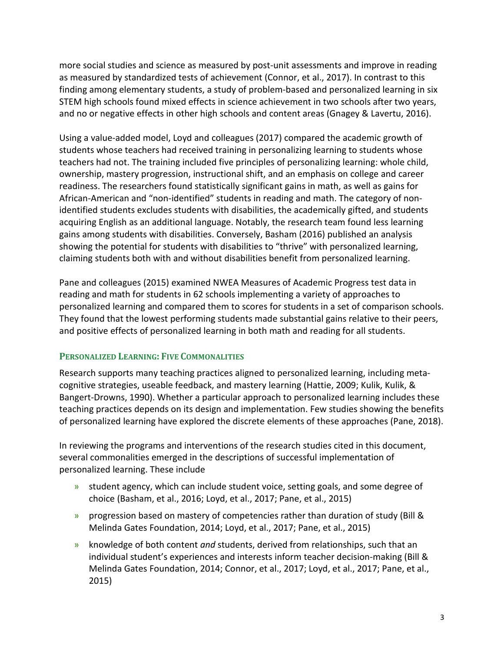more social studies and science as measured by post-unit assessments and improve in reading as measured by standardized tests of achievement (Connor, et al., 2017). In contrast to this finding among elementary students, a study of problem-based and personalized learning in six STEM high schools found mixed effects in science achievement in two schools after two years, and no or negative effects in other high schools and content areas (Gnagey & Lavertu, 2016).

Using a value-added model, Loyd and colleagues (2017) compared the academic growth of students whose teachers had received training in personalizing learning to students whose teachers had not. The training included five principles of personalizing learning: whole child, ownership, mastery progression, instructional shift, and an emphasis on college and career readiness. The researchers found statistically significant gains in math, as well as gains for African-American and "non-identified" students in reading and math. The category of nonidentified students excludes students with disabilities, the academically gifted, and students acquiring English as an additional language. Notably, the research team found less learning gains among students with disabilities. Conversely, Basham (2016) published an analysis showing the potential for students with disabilities to "thrive" with personalized learning, claiming students both with and without disabilities benefit from personalized learning.

Pane and colleagues (2015) examined NWEA Measures of Academic Progress test data in reading and math for students in 62 schools implementing a variety of approaches to personalized learning and compared them to scores for students in a set of comparison schools. They found that the lowest performing students made substantial gains relative to their peers, and positive effects of personalized learning in both math and reading for all students.

## **PERSONALIZED LEARNING: FIVE COMMONALITIES**

Research supports many teaching practices aligned to personalized learning, including metacognitive strategies, useable feedback, and mastery learning (Hattie, 2009; Kulik, Kulik, & Bangert-Drowns, 1990). Whether a particular approach to personalized learning includes these teaching practices depends on its design and implementation. Few studies showing the benefits of personalized learning have explored the discrete elements of these approaches (Pane, 2018).

In reviewing the programs and interventions of the research studies cited in this document, several commonalities emerged in the descriptions of successful implementation of personalized learning. These include

- » student agency, which can include student voice, setting goals, and some degree of choice (Basham, et al., 2016; Loyd, et al., 2017; Pane, et al., 2015)
- » progression based on mastery of competencies rather than duration of study (Bill & Melinda Gates Foundation, 2014; Loyd, et al., 2017; Pane, et al., 2015)
- » knowledge of both content *and* students, derived from relationships, such that an individual student's experiences and interests inform teacher decision-making (Bill & Melinda Gates Foundation, 2014; Connor, et al., 2017; Loyd, et al., 2017; Pane, et al., 2015)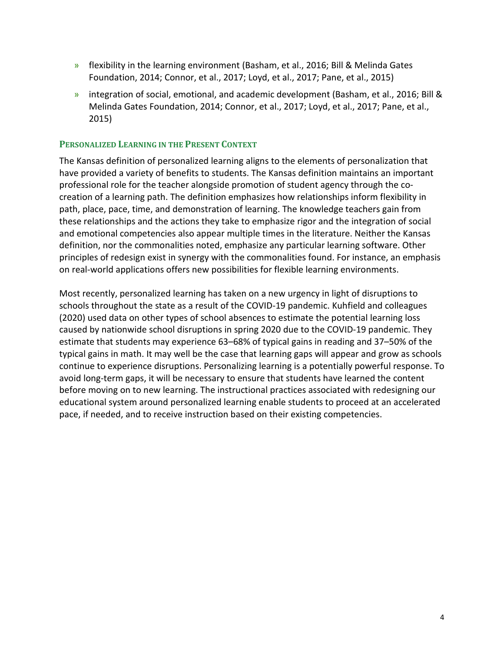- » flexibility in the learning environment (Basham, et al., 2016; Bill & Melinda Gates Foundation, 2014; Connor, et al., 2017; Loyd, et al., 2017; Pane, et al., 2015)
- » integration of social, emotional, and academic development (Basham, et al., 2016; Bill & Melinda Gates Foundation, 2014; Connor, et al., 2017; Loyd, et al., 2017; Pane, et al., 2015)

#### **PERSONALIZED LEARNING IN THE PRESENT CONTEXT**

The Kansas definition of personalized learning aligns to the elements of personalization that have provided a variety of benefits to students. The Kansas definition maintains an important professional role for the teacher alongside promotion of student agency through the cocreation of a learning path. The definition emphasizes how relationships inform flexibility in path, place, pace, time, and demonstration of learning. The knowledge teachers gain from these relationships and the actions they take to emphasize rigor and the integration of social and emotional competencies also appear multiple times in the literature. Neither the Kansas definition, nor the commonalities noted, emphasize any particular learning software. Other principles of redesign exist in synergy with the commonalities found. For instance, an emphasis on real-world applications offers new possibilities for flexible learning environments.

Most recently, personalized learning has taken on a new urgency in light of disruptions to schools throughout the state as a result of the COVID-19 pandemic. Kuhfield and colleagues (2020) used data on other types of school absences to estimate the potential learning loss caused by nationwide school disruptions in spring 2020 due to the COVID-19 pandemic. They estimate that students may experience 63–68% of typical gains in reading and 37–50% of the typical gains in math. It may well be the case that learning gaps will appear and grow as schools continue to experience disruptions. Personalizing learning is a potentially powerful response. To avoid long-term gaps, it will be necessary to ensure that students have learned the content before moving on to new learning. The instructional practices associated with redesigning our educational system around personalized learning enable students to proceed at an accelerated pace, if needed, and to receive instruction based on their existing competencies.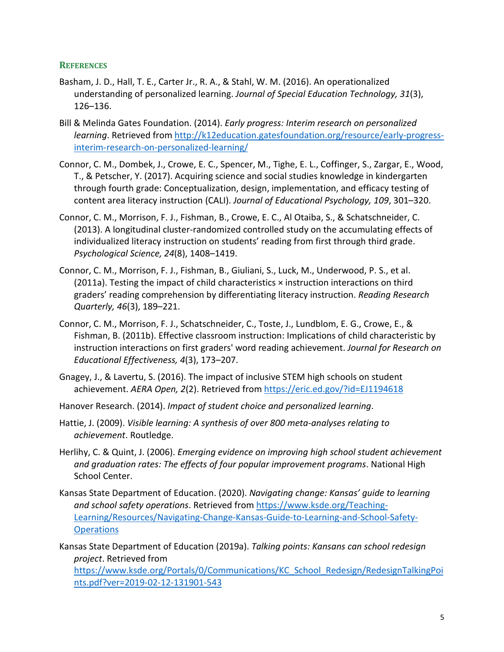#### **REFERENCES**

- Basham, J. D., Hall, T. E., Carter Jr., R. A., & Stahl, W. M. (2016). An operationalized understanding of personalized learning. *Journal of Special Education Technology, 31*(3), 126–136.
- Bill & Melinda Gates Foundation. (2014). *Early progress: Interim research on personalized learning*. Retrieved from [http://k12education.gatesfoundation.org/resource/early-progress](http://k12education.gatesfoundation.org/resource/early-progress-interim-research-on-personalized-learning/)[interim-research-on-personalized-learning/](http://k12education.gatesfoundation.org/resource/early-progress-interim-research-on-personalized-learning/)
- Connor, C. M., Dombek, J., Crowe, E. C., Spencer, M., Tighe, E. L., Coffinger, S., Zargar, E., Wood, T., & Petscher, Y. (2017). Acquiring science and social studies knowledge in kindergarten through fourth grade: Conceptualization, design, implementation, and efficacy testing of content area literacy instruction (CALI). *Journal of Educational Psychology, 109*, 301–320.
- Connor, C. M., Morrison, F. J., Fishman, B., Crowe, E. C., Al Otaiba, S., & Schatschneider, C. (2013). A longitudinal cluster-randomized controlled study on the accumulating effects of individualized literacy instruction on students' reading from first through third grade. *Psychological Science, 24*(8), 1408–1419.
- Connor, C. M., Morrison, F. J., Fishman, B., Giuliani, S., Luck, M., Underwood, P. S., et al.  $(2011a)$ . Testing the impact of child characteristics  $\times$  instruction interactions on third graders' reading comprehension by differentiating literacy instruction. *Reading Research Quarterly, 46*(3), 189–221.
- Connor, C. M., Morrison, F. J., Schatschneider, C., Toste, J., Lundblom, E. G., Crowe, E., & Fishman, B. (2011b). Effective classroom instruction: Implications of child characteristic by instruction interactions on first graders' word reading achievement. *Journal for Research on Educational Effectiveness, 4*(3), 173–207.
- Gnagey, J., & Lavertu, S. (2016). The impact of inclusive STEM high schools on student achievement. *AERA Open, 2*(2). Retrieved from<https://eric.ed.gov/?id=EJ1194618>
- Hanover Research. (2014). *Impact of student choice and personalized learning*.
- Hattie, J. (2009). *Visible learning: A synthesis of over 800 meta-analyses relating to achievement*. Routledge.
- Herlihy, C. & Quint, J. (2006). *Emerging evidence on improving high school student achievement and graduation rates: The effects of four popular improvement programs*. National High School Center.
- Kansas State Department of Education. (2020). *Navigating change: Kansas' guide to learning and school safety operations*. Retrieved from [https://www.ksde.org/Teaching-](https://www.ksde.org/Teaching-Learning/Resources/Navigating-Change-Kansas-Guide-to-Learning-and-School-Safety-Operations)[Learning/Resources/Navigating-Change-Kansas-Guide-to-Learning-and-School-Safety-](https://www.ksde.org/Teaching-Learning/Resources/Navigating-Change-Kansas-Guide-to-Learning-and-School-Safety-Operations)**[Operations](https://www.ksde.org/Teaching-Learning/Resources/Navigating-Change-Kansas-Guide-to-Learning-and-School-Safety-Operations)**

Kansas State Department of Education (2019a). *Talking points: Kansans can school redesign project*. Retrieved from [https://www.ksde.org/Portals/0/Communications/KC\\_School\\_Redesign/RedesignTalkingPoi](https://www.ksde.org/Portals/0/Communications/KC_School_Redesign/RedesignTalkingPoints.pdf?ver=2019-02-12-131901-543) [nts.pdf?ver=2019-02-12-131901-543](https://www.ksde.org/Portals/0/Communications/KC_School_Redesign/RedesignTalkingPoints.pdf?ver=2019-02-12-131901-543)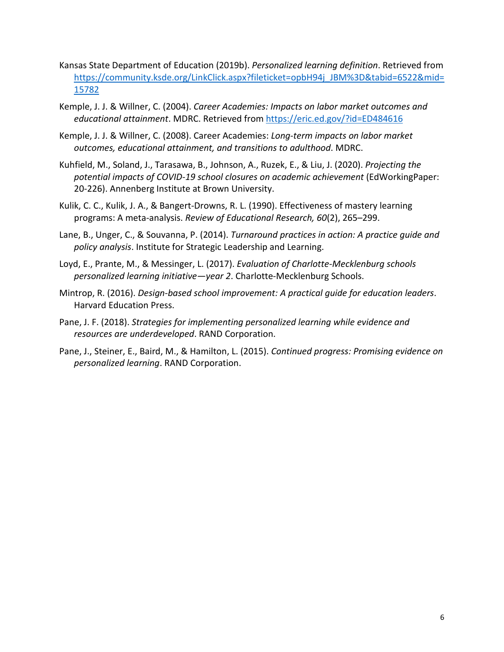- Kansas State Department of Education (2019b). *Personalized learning definition*. Retrieved from [https://community.ksde.org/LinkClick.aspx?fileticket=opbH94j\\_JBM%3D&tabid=6522&mid=](https://community.ksde.org/LinkClick.aspx?fileticket=opbH94j_JBM%3D&tabid=6522&mid=15782) [15782](https://community.ksde.org/LinkClick.aspx?fileticket=opbH94j_JBM%3D&tabid=6522&mid=15782)
- Kemple, J. J. & Willner, C. (2004). *Career Academies: Impacts on labor market outcomes and educational attainment*. MDRC. Retrieved from <https://eric.ed.gov/?id=ED484616>
- Kemple, J. J. & Willner, C. (2008). Career Academies: *Long-term impacts on labor market outcomes, educational attainment, and transitions to adulthood*. MDRC.
- Kuhfield, M., Soland, J., Tarasawa, B., Johnson, A., Ruzek, E., & Liu, J. (2020). *Projecting the potential impacts of COVID-19 school closures on academic achievement* (EdWorkingPaper: 20-226). Annenberg Institute at Brown University.
- Kulik, C. C., Kulik, J. A., & Bangert-Drowns, R. L. (1990). Effectiveness of mastery learning programs: A meta-analysis. *Review of Educational Research, 60*(2), 265–299.
- Lane, B., Unger, C., & Souvanna, P. (2014). *Turnaround practices in action: A practice guide and policy analysis*. Institute for Strategic Leadership and Learning.
- Loyd, E., Prante, M., & Messinger, L. (2017). *Evaluation of Charlotte-Mecklenburg schools personalized learning initiative—year 2*. Charlotte-Mecklenburg Schools.
- Mintrop, R. (2016). *Design-based school improvement: A practical guide for education leaders*. Harvard Education Press.
- Pane, J. F. (2018). *Strategies for implementing personalized learning while evidence and resources are underdeveloped*. RAND Corporation.
- Pane, J., Steiner, E., Baird, M., & Hamilton, L. (2015). *Continued progress: Promising evidence on personalized learning*. RAND Corporation.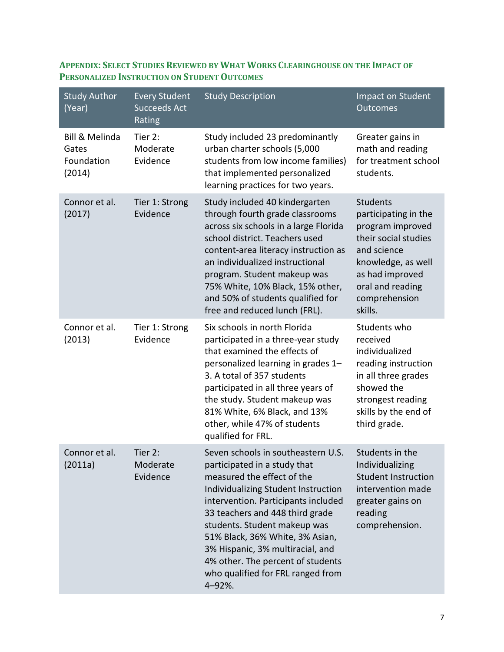| <b>Study Author</b><br>(Year)                              | <b>Every Student</b><br><b>Succeeds Act</b><br>Rating | <b>Study Description</b>                                                                                                                                                                                                                                                                                                                                                                                     | Impact on Student<br>Outcomes                                                                                                                                                               |
|------------------------------------------------------------|-------------------------------------------------------|--------------------------------------------------------------------------------------------------------------------------------------------------------------------------------------------------------------------------------------------------------------------------------------------------------------------------------------------------------------------------------------------------------------|---------------------------------------------------------------------------------------------------------------------------------------------------------------------------------------------|
| <b>Bill &amp; Melinda</b><br>Gates<br>Foundation<br>(2014) | Tier 2:<br>Moderate<br>Evidence                       | Study included 23 predominantly<br>urban charter schools (5,000<br>students from low income families)<br>that implemented personalized<br>learning practices for two years.                                                                                                                                                                                                                                  | Greater gains in<br>math and reading<br>for treatment school<br>students.                                                                                                                   |
| Connor et al.<br>(2017)                                    | Tier 1: Strong<br>Evidence                            | Study included 40 kindergarten<br>through fourth grade classrooms<br>across six schools in a large Florida<br>school district. Teachers used<br>content-area literacy instruction as<br>an individualized instructional<br>program. Student makeup was<br>75% White, 10% Black, 15% other,<br>and 50% of students qualified for<br>free and reduced lunch (FRL).                                             | <b>Students</b><br>participating in the<br>program improved<br>their social studies<br>and science<br>knowledge, as well<br>as had improved<br>oral and reading<br>comprehension<br>skills. |
| Connor et al.<br>(2013)                                    | Tier 1: Strong<br>Evidence                            | Six schools in north Florida<br>participated in a three-year study<br>that examined the effects of<br>personalized learning in grades 1-<br>3. A total of 357 students<br>participated in all three years of<br>the study. Student makeup was<br>81% White, 6% Black, and 13%<br>other, while 47% of students<br>qualified for FRL.                                                                          | Students who<br>received<br>individualized<br>reading instruction<br>in all three grades<br>showed the<br>strongest reading<br>skills by the end of<br>third grade.                         |
| Connor et al.<br>(2011a)                                   | Tier 2:<br>Moderate<br>Evidence                       | Seven schools in southeastern U.S.<br>participated in a study that<br>measured the effect of the<br>Individualizing Student Instruction<br>intervention. Participants included<br>33 teachers and 448 third grade<br>students. Student makeup was<br>51% Black, 36% White, 3% Asian,<br>3% Hispanic, 3% multiracial, and<br>4% other. The percent of students<br>who qualified for FRL ranged from<br>4-92%. | Students in the<br>Individualizing<br><b>Student Instruction</b><br>intervention made<br>greater gains on<br>reading<br>comprehension.                                                      |

# **APPENDIX: SELECT STUDIES REVIEWED BY WHAT WORKS CLEARINGHOUSE ON THE IMPACT OF PERSONALIZED INSTRUCTION ON STUDENT OUTCOMES**